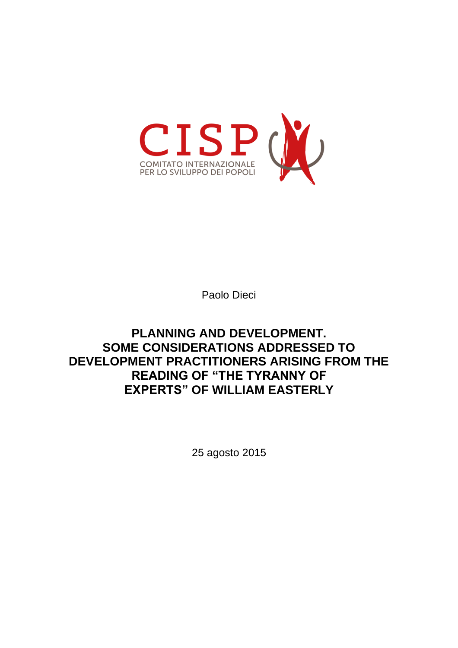

Paolo Dieci

# **PLANNING AND DEVELOPMENT. SOME CONSIDERATIONS ADDRESSED TO DEVELOPMENT PRACTITIONERS ARISING FROM THE READING OF "THE TYRANNY OF EXPERTS" OF WILLIAM EASTERLY**

25 agosto 2015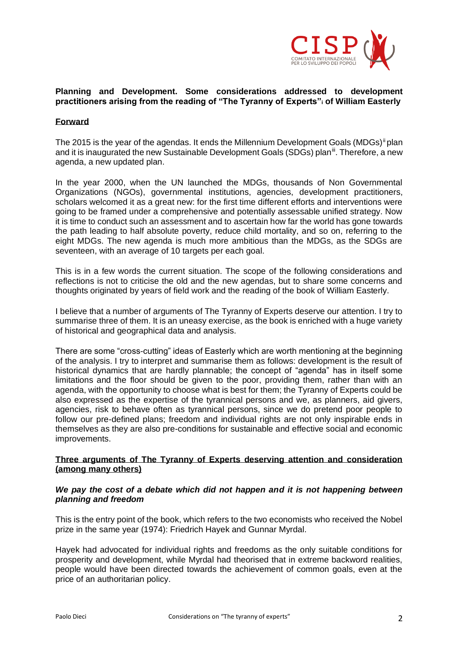

#### **Planning and Development. Some considerations addressed to development practitioners arising from the reading of "The Tyranny of Experts"<sup>i</sup> of William Easterly**

### **Forward**

The 2015 is the year of the agendas. It ends the Millennium Development Goals (MDGs)<sup>ii</sup> plan and it is inaugurated the new Sustainable Development Goals (SDGs) plan<sup>iii</sup>. Therefore, a new agenda, a new updated plan.

In the year 2000, when the UN launched the MDGs, thousands of Non Governmental Organizations (NGOs), governmental institutions, agencies, development practitioners, scholars welcomed it as a great new: for the first time different efforts and interventions were going to be framed under a comprehensive and potentially assessable unified strategy. Now it is time to conduct such an assessment and to ascertain how far the world has gone towards the path leading to half absolute poverty, reduce child mortality, and so on, referring to the eight MDGs. The new agenda is much more ambitious than the MDGs, as the SDGs are seventeen, with an average of 10 targets per each goal.

This is in a few words the current situation. The scope of the following considerations and reflections is not to criticise the old and the new agendas, but to share some concerns and thoughts originated by years of field work and the reading of the book of William Easterly.

I believe that a number of arguments of The Tyranny of Experts deserve our attention. I try to summarise three of them. It is an uneasy exercise, as the book is enriched with a huge variety of historical and geographical data and analysis.

There are some "cross-cutting" ideas of Easterly which are worth mentioning at the beginning of the analysis. I try to interpret and summarise them as follows: development is the result of historical dynamics that are hardly plannable; the concept of "agenda" has in itself some limitations and the floor should be given to the poor, providing them, rather than with an agenda, with the opportunity to choose what is best for them; the Tyranny of Experts could be also expressed as the expertise of the tyrannical persons and we, as planners, aid givers, agencies, risk to behave often as tyrannical persons, since we do pretend poor people to follow our pre-defined plans; freedom and individual rights are not only inspirable ends in themselves as they are also pre-conditions for sustainable and effective social and economic improvements.

#### **Three arguments of The Tyranny of Experts deserving attention and consideration (among many others)**

#### *We pay the cost of a debate which did not happen and it is not happening between planning and freedom*

This is the entry point of the book, which refers to the two economists who received the Nobel prize in the same year (1974): Friedrich Hayek and Gunnar Myrdal.

Hayek had advocated for individual rights and freedoms as the only suitable conditions for prosperity and development, while Myrdal had theorised that in extreme backword realities, people would have been directed towards the achievement of common goals, even at the price of an authoritarian policy.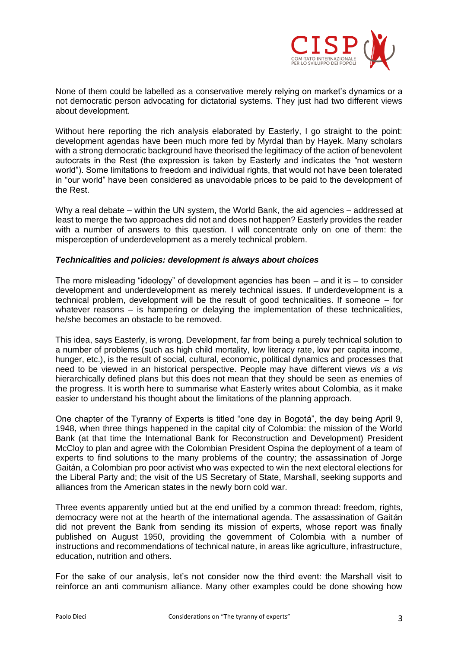

None of them could be labelled as a conservative merely relying on market's dynamics or a not democratic person advocating for dictatorial systems. They just had two different views about development.

Without here reporting the rich analysis elaborated by Easterly. I go straight to the point: development agendas have been much more fed by Myrdal than by Hayek. Many scholars with a strong democratic background have theorised the legitimacy of the action of benevolent autocrats in the Rest (the expression is taken by Easterly and indicates the "not western world"). Some limitations to freedom and individual rights, that would not have been tolerated in "our world" have been considered as unavoidable prices to be paid to the development of the Rest.

Why a real debate – within the UN system, the World Bank, the aid agencies – addressed at least to merge the two approaches did not and does not happen? Easterly provides the reader with a number of answers to this question. I will concentrate only on one of them: the misperception of underdevelopment as a merely technical problem.

#### *Technicalities and policies: development is always about choices*

The more misleading "ideology" of development agencies has been – and it is – to consider development and underdevelopment as merely technical issues. If underdevelopment is a technical problem, development will be the result of good technicalities. If someone – for whatever reasons – is hampering or delaying the implementation of these technicalities, he/she becomes an obstacle to be removed.

This idea, says Easterly, is wrong. Development, far from being a purely technical solution to a number of problems (such as high child mortality, low literacy rate, low per capita income, hunger, etc.), is the result of social, cultural, economic, political dynamics and processes that need to be viewed in an historical perspective. People may have different views *vis a vis*  hierarchically defined plans but this does not mean that they should be seen as enemies of the progress. It is worth here to summarise what Easterly writes about Colombia, as it make easier to understand his thought about the limitations of the planning approach.

One chapter of the Tyranny of Experts is titled "one day in Bogotá", the day being April 9, 1948, when three things happened in the capital city of Colombia: the mission of the World Bank (at that time the International Bank for Reconstruction and Development) President McCloy to plan and agree with the Colombian President Ospina the deployment of a team of experts to find solutions to the many problems of the country; the assassination of Jorge Gaitán, a Colombian pro poor activist who was expected to win the next electoral elections for the Liberal Party and; the visit of the US Secretary of State, Marshall, seeking supports and alliances from the American states in the newly born cold war.

Three events apparently untied but at the end unified by a common thread: freedom, rights, democracy were not at the hearth of the international agenda. The assassination of Gaitán did not prevent the Bank from sending its mission of experts, whose report was finally published on August 1950, providing the government of Colombia with a number of instructions and recommendations of technical nature, in areas like agriculture, infrastructure, education, nutrition and others.

For the sake of our analysis, let's not consider now the third event: the Marshall visit to reinforce an anti communism alliance. Many other examples could be done showing how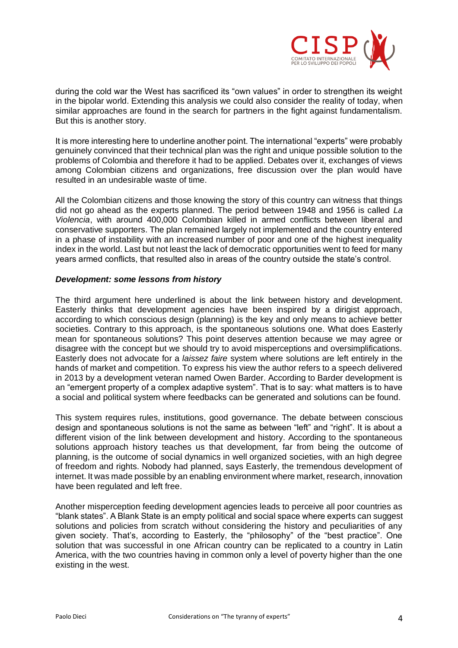

during the cold war the West has sacrificed its "own values" in order to strengthen its weight in the bipolar world. Extending this analysis we could also consider the reality of today, when similar approaches are found in the search for partners in the fight against fundamentalism. But this is another story.

It is more interesting here to underline another point. The international "experts" were probably genuinely convinced that their technical plan was the right and unique possible solution to the problems of Colombia and therefore it had to be applied. Debates over it, exchanges of views among Colombian citizens and organizations, free discussion over the plan would have resulted in an undesirable waste of time.

All the Colombian citizens and those knowing the story of this country can witness that things did not go ahead as the experts planned. The period between 1948 and 1956 is called *La Violencia*, with around 400,000 Colombian killed in armed conflicts between liberal and conservative supporters. The plan remained largely not implemented and the country entered in a phase of instability with an increased number of poor and one of the highest inequality index in the world. Last but not least the lack of democratic opportunities went to feed for many years armed conflicts, that resulted also in areas of the country outside the state's control.

## *Development: some lessons from history*

The third argument here underlined is about the link between history and development. Easterly thinks that development agencies have been inspired by a dirigist approach, according to which conscious design (planning) is the key and only means to achieve better societies. Contrary to this approach, is the spontaneous solutions one. What does Easterly mean for spontaneous solutions? This point deserves attention because we may agree or disagree with the concept but we should try to avoid misperceptions and oversimplifications. Easterly does not advocate for a *laissez faire* system where solutions are left entirely in the hands of market and competition. To express his view the author refers to a speech delivered in 2013 by a development veteran named Owen Barder. According to Barder development is an "emergent property of a complex adaptive system". That is to say: what matters is to have a social and political system where feedbacks can be generated and solutions can be found.

This system requires rules, institutions, good governance. The debate between conscious design and spontaneous solutions is not the same as between "left" and "right". It is about a different vision of the link between development and history. According to the spontaneous solutions approach history teaches us that development, far from being the outcome of planning, is the outcome of social dynamics in well organized societies, with an high degree of freedom and rights. Nobody had planned, says Easterly, the tremendous development of internet. It was made possible by an enabling environment where market, research, innovation have been regulated and left free.

Another misperception feeding development agencies leads to perceive all poor countries as "blank states". A Blank State is an empty political and social space where experts can suggest solutions and policies from scratch without considering the history and peculiarities of any given society. That's, according to Easterly, the "philosophy" of the "best practice". One solution that was successful in one African country can be replicated to a country in Latin America, with the two countries having in common only a level of poverty higher than the one existing in the west.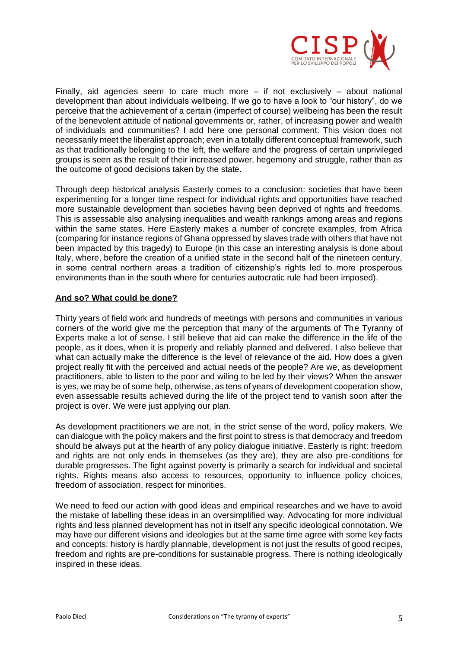

Finally, aid agencies seem to care much more – if not exclusively – about national development than about individuals wellbeing. If we go to have a look to "our history", do we perceive that the achievement of a certain (imperfect of course) wellbeing has been the result of the benevolent attitude of national governments or, rather, of increasing power and wealth of individuals and communities? I add here one personal comment. This vision does not necessarily meet the liberalist approach; even in a totally different conceptual framework, such as that traditionally belonging to the left, the welfare and the progress of certain unprivileged groups is seen as the result of their increased power, hegemony and struggle, rather than as the outcome of good decisions taken by the state.

Through deep historical analysis Easterly comes to a conclusion: societies that have been experimenting for a longer time respect for individual rights and opportunities have reached more sustainable development than societies having been deprived of rights and freedoms. This is assessable also analysing inequalities and wealth rankings among areas and regions within the same states. Here Easterly makes a number of concrete examples, from Africa (comparing for instance regions of Ghana oppressed by slaves trade with others that have not been impacted by this tragedy) to Europe (in this case an interesting analysis is done about Italy, where, before the creation of a unified state in the second half of the nineteen century, in some central northern areas a tradition of citizenship's rights led to more prosperous environments than in the south where for centuries autocratic rule had been imposed).

#### **And so? What could be done?**

Thirty years of field work and hundreds of meetings with persons and communities in various corners of the world give me the perception that many of the arguments of The Tyranny of Experts make a lot of sense. I still believe that aid can make the difference in the life of the people, as it does, when it is properly and reliably planned and delivered. I also believe that what can actually make the difference is the level of relevance of the aid. How does a given project really fit with the perceived and actual needs of the people? Are we, as development practitioners, able to listen to the poor and wiling to be led by their views? When the answer is yes, we may be of some help, otherwise, as tens of years of development cooperation show, even assessable results achieved during the life of the project tend to vanish soon after the project is over. We were just applying our plan.

As development practitioners we are not, in the strict sense of the word, policy makers. We can dialogue with the policy makers and the first point to stress is that democracy and freedom should be always put at the hearth of any policy dialogue initiative. Easterly is right: freedom and rights are not only ends in themselves (as they are), they are also pre-conditions for durable progresses. The fight against poverty is primarily a search for individual and societal rights. Rights means also access to resources, opportunity to influence policy choices, freedom of association, respect for minorities.

We need to feed our action with good ideas and empirical researches and we have to avoid the mistake of labelling these ideas in an oversimplified way. Advocating for more individual rights and less planned development has not in itself any specific ideological connotation. We may have our different visions and ideologies but at the same time agree with some key facts and concepts: history is hardly plannable, development is not just the results of good recipes, freedom and rights are pre-conditions for sustainable progress. There is nothing ideologically inspired in these ideas.